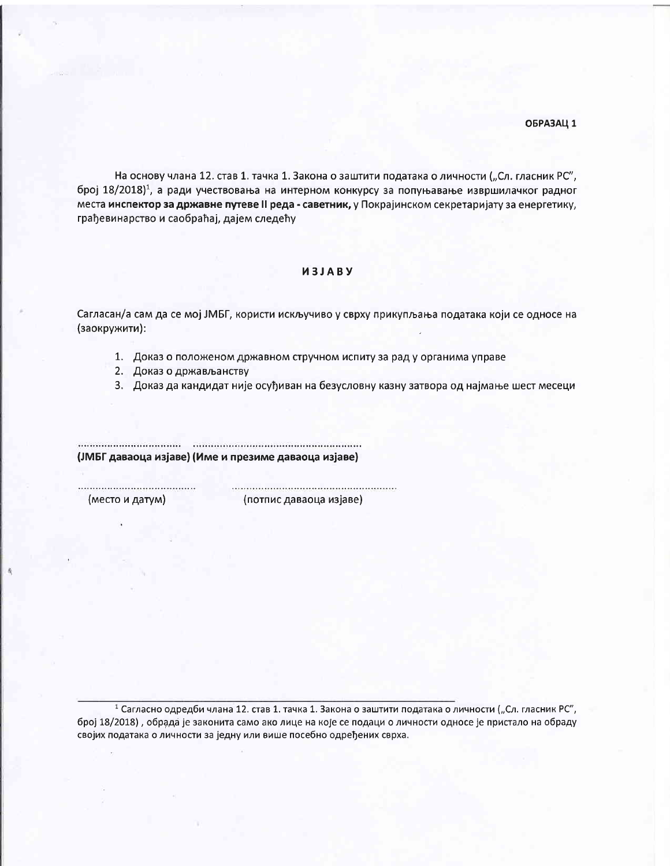## ОБРАЗАЦ 1

На основу члана 12. став 1. тачка 1. Закона о заштити података о личности ("Сл. гласник РС", број  $18/2018$ <sup>1</sup>, а ради учествовања на интерном конкурсу за попуњавање извршилачког радног места инспектор за државне путеве II реда - саветник, у Покрајинском секретаријату за енергетику, грађевинарство и саобраћај, дајем следећу

## *M3JABY*

Сагласан/а сам да се мој ЈМБГ, користи искључиво у сврху прикупљања података који се односе на (заокружити):

- 1. Доказ о положеном државном стручном испиту за рад у органима управе
- 2. Доказ о држављанству
- 3. Доказ да кандидат није осуђиван на безусловну казну затвора од најмање шест месеци

................... (ЈМБГ даваоца изјаве) (Име и презиме даваоца изјаве)

(место и датум)

(потпис даваоца изјаве)

1 Сагласно одредби члана 12. став 1. тачка 1. Закона о заштити података о личности ("Сл. гласник РС", број 18/2018), обрада је законита само ако лице на које се подаци о личности односе је пристало на обраду својих података о личности за једну или више посебно одређених сврха.